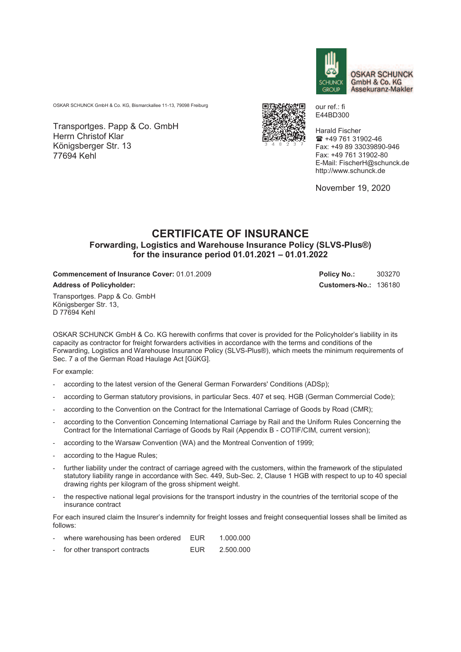

**OSKAR SCHUNCK** GmbH & Co. KG Assekuranz-Makler

OSKAR SCHUNCK GmbH & Co. KG, Bismarckallee 11-13, 79098 Freiburg

Transportges. Papp & Co. GmbH Herrn Christof Klar Königsberger Str. 13 77694 Kehl



our ref.: fi E44BD300

Harald Fischer  $\text{ m}$  +49 761 31902-46 Fax: +49 89 33039890-946 Fax: +49 761 31902-80 E-Mail: FischerH@schunck.de http://www.schunck.de

November 19, 2020

## **CERTIFICATE OF INSURANCE Forwarding, Logistics and Warehouse Insurance Policy (SLVS-Plus®) for the insurance period 01.01.2021 – 01.01.2022**

**Commencement of Insurance Cover: 01.01.2009 Policy No.: 303270 Address of Policyholder: Customers-No.:** 136180

Transportges. Papp & Co. GmbH Königsberger Str. 13, D 77694 Kehl

OSKAR SCHUNCK GmbH & Co. KG herewith confirms that cover is provided for the Policyholder's liability in its capacity as contractor for freight forwarders activities in accordance with the terms and conditions of the Forwarding, Logistics and Warehouse Insurance Policy (SLVS-Plus®), which meets the minimum requirements of Sec. 7 a of the German Road Haulage Act [GüKG].

For example:

- according to the latest version of the General German Forwarders' Conditions (ADSp);
- according to German statutory provisions, in particular Secs. 407 et seq. HGB (German Commercial Code);
- according to the Convention on the Contract for the International Carriage of Goods by Road (CMR);
- according to the Convention Concerning International Carriage by Rail and the Uniform Rules Concerning the Contract for the International Carriage of Goods by Rail (Appendix B - COTIF/CIM, current version);
- according to the Warsaw Convention (WA) and the Montreal Convention of 1999;
- according to the Hague Rules;
- further liability under the contract of carriage agreed with the customers, within the framework of the stipulated statutory liability range in accordance with Sec. 449, Sub-Sec. 2, Clause 1 HGB with respect to up to 40 special drawing rights per kilogram of the gross shipment weight.
- the respective national legal provisions for the transport industry in the countries of the territorial scope of the insurance contract

For each insured claim the Insurer's indemnity for freight losses and freight consequential losses shall be limited as follows:

- where warehousing has been ordered EUR 1.000.000
- for other transport contracts EUR 2.500.000